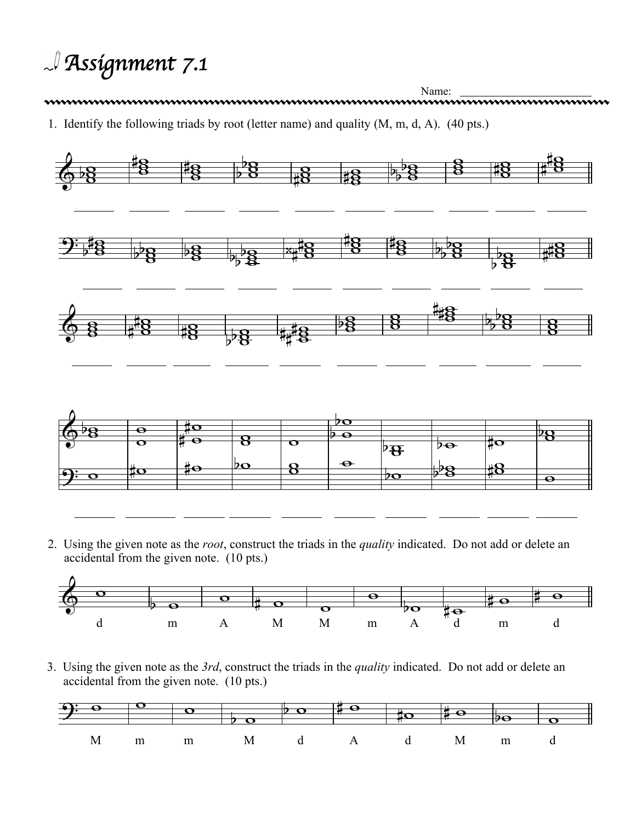*Assignment 7.1*

Name: Name: 2000 Name: 2000 Name: 2000 Name: 2000 Name: 2000 Name: 2000 Name: 2000 Name: 2000 Name: 2000 Name: 2000 Name: 2000 Name: 2000 Name: 2000 Name: 2000 Name: 2000 Name: 2000 Name: 2000 Name: 2000 Name: 2000 Name: 2 1. Identify the following triads by root (letter name) and quality (M, m, d, A). (40 pts.)



2. Using the given note as the *root*, construct the triads in the *quality* indicated. Do not add or delete an accidental from the given note. (10 pts.)



3. Using the given note as the *3rd*, construct the triads in the *quality* indicated. Do not add or delete an accidental from the given note. (10 pts.)